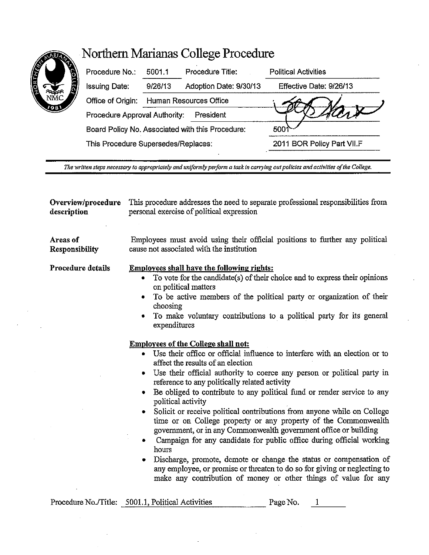## **Worthern Marianas College Procedure**



| R<br>√n<br>iC | Procedure No.:                                   | 5001.1                 | Procedure Title:       | <b>Political Activities</b> |
|---------------|--------------------------------------------------|------------------------|------------------------|-----------------------------|
|               | <b>Issuing Date:</b>                             | 9/26/13                | Adoption Date: 9/30/13 | Effective Date: 9/26/13     |
|               | Office of Origin:                                | Human Resources Office |                        |                             |
|               | Procedure Approval Authority:<br>President       |                        |                        |                             |
|               | Board Policy No. Associated with this Procedure: |                        |                        | 500                         |
|               | This Procedure Supersedes/Replaces:              |                        |                        | 2011 BOR Policy Part VII.F  |
|               |                                                  |                        |                        |                             |

*The wrilten steps necessary to appropriately and uniformly perform a task in canying out policies and activities of the College.* 

| Overview/procedure | This procedure addresses the need to separate professional responsibilities from                                                                                                                                                                                                                                                                                                                                                                                                                                                                                                                                                                                                                                                                                                                                                                                                                                                                                                                                                                                                                                                                                                                                                                                       |  |  |
|--------------------|------------------------------------------------------------------------------------------------------------------------------------------------------------------------------------------------------------------------------------------------------------------------------------------------------------------------------------------------------------------------------------------------------------------------------------------------------------------------------------------------------------------------------------------------------------------------------------------------------------------------------------------------------------------------------------------------------------------------------------------------------------------------------------------------------------------------------------------------------------------------------------------------------------------------------------------------------------------------------------------------------------------------------------------------------------------------------------------------------------------------------------------------------------------------------------------------------------------------------------------------------------------------|--|--|
| description        | personal exercise of political expression                                                                                                                                                                                                                                                                                                                                                                                                                                                                                                                                                                                                                                                                                                                                                                                                                                                                                                                                                                                                                                                                                                                                                                                                                              |  |  |
| Areas of           | Employees must avoid using their official positions to further any political                                                                                                                                                                                                                                                                                                                                                                                                                                                                                                                                                                                                                                                                                                                                                                                                                                                                                                                                                                                                                                                                                                                                                                                           |  |  |
| Responsibility     | cause not associated with the institution                                                                                                                                                                                                                                                                                                                                                                                                                                                                                                                                                                                                                                                                                                                                                                                                                                                                                                                                                                                                                                                                                                                                                                                                                              |  |  |
| Procedure details  | <b>Employees shall have the following rights:</b><br>To vote for the candidate(s) of their choice and to express their opinions<br>on political matters<br>To be active members of the political party or organization of their<br>٠<br>choosing<br>To make voluntary contributions to a political party for its general<br>expenditures<br><b>Employees of the College shall not:</b><br>• Use their office or official influence to interfere with an election or to<br>affect the results of an election<br>Use their official authority to coerce any person or political party in<br>۰<br>reference to any politically related activity<br>Be obliged to contribute to any political fund or render service to any<br>political activity<br>Solicit or receive political contributions from anyone while on College<br>time or on College property or any property of the Commonwealth<br>government, or in any Commonwealth government office or building<br>Campaign for any candidate for public office during official working<br>hours<br>Discharge, promote, demote or change the status or compensation of<br>any employee, or promise or threaten to do so for giving or neglecting to<br>make any contribution of money or other things of value for any |  |  |
|                    | Procedure No./Title: 5001.1, Political Activities<br>Page No.<br>1                                                                                                                                                                                                                                                                                                                                                                                                                                                                                                                                                                                                                                                                                                                                                                                                                                                                                                                                                                                                                                                                                                                                                                                                     |  |  |